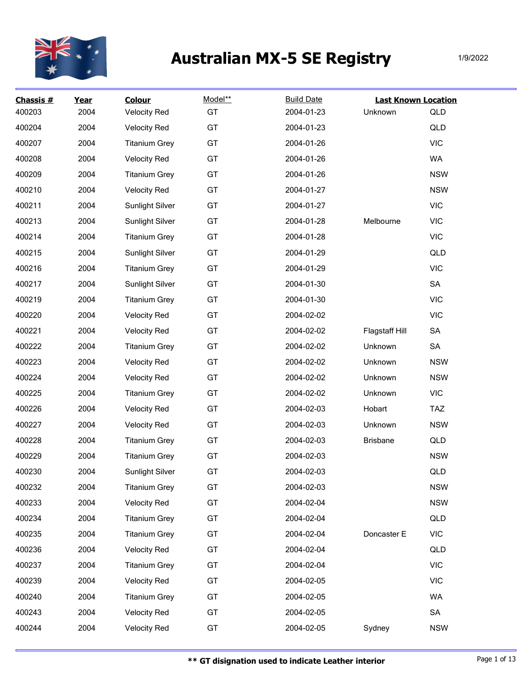

| Chassis #<br>400203 | Year<br>2004 | <b>Colour</b><br><b>Velocity Red</b> | Model**<br>GT | <b>Build Date</b><br>2004-01-23 | <b>Last Known Location</b><br>Unknown | QLD        |
|---------------------|--------------|--------------------------------------|---------------|---------------------------------|---------------------------------------|------------|
| 400204              | 2004         | <b>Velocity Red</b>                  | GT            | 2004-01-23                      |                                       | QLD        |
| 400207              | 2004         | <b>Titanium Grey</b>                 | GT            | 2004-01-26                      |                                       | <b>VIC</b> |
| 400208              | 2004         | <b>Velocity Red</b>                  | GT            | 2004-01-26                      |                                       | WA         |
| 400209              | 2004         | <b>Titanium Grey</b>                 | GT            | 2004-01-26                      |                                       | <b>NSW</b> |
| 400210              | 2004         | <b>Velocity Red</b>                  | GT            | 2004-01-27                      |                                       | <b>NSW</b> |
| 400211              | 2004         | Sunlight Silver                      | GT            | 2004-01-27                      |                                       | <b>VIC</b> |
| 400213              | 2004         | Sunlight Silver                      | GT            | 2004-01-28                      | Melbourne                             | <b>VIC</b> |
| 400214              | 2004         | <b>Titanium Grey</b>                 | GT            | 2004-01-28                      |                                       | <b>VIC</b> |
| 400215              | 2004         | <b>Sunlight Silver</b>               | GT            | 2004-01-29                      |                                       | QLD        |
| 400216              | 2004         | <b>Titanium Grey</b>                 | GT            | 2004-01-29                      |                                       | <b>VIC</b> |
| 400217              | 2004         | <b>Sunlight Silver</b>               | GT            | 2004-01-30                      |                                       | SA         |
| 400219              | 2004         | <b>Titanium Grey</b>                 | GT            | 2004-01-30                      |                                       | <b>VIC</b> |
| 400220              | 2004         | <b>Velocity Red</b>                  | GT            | 2004-02-02                      |                                       | <b>VIC</b> |
| 400221              | 2004         | <b>Velocity Red</b>                  | GT            | 2004-02-02                      | Flagstaff Hill                        | SA         |
| 400222              | 2004         | <b>Titanium Grey</b>                 | GT            | 2004-02-02                      | Unknown                               | SA         |
| 400223              | 2004         | <b>Velocity Red</b>                  | GT            | 2004-02-02                      | Unknown                               | <b>NSW</b> |
| 400224              | 2004         | <b>Velocity Red</b>                  | GT            | 2004-02-02                      | Unknown                               | <b>NSW</b> |
| 400225              | 2004         | <b>Titanium Grey</b>                 | GT            | 2004-02-02                      | Unknown                               | <b>VIC</b> |
| 400226              | 2004         | <b>Velocity Red</b>                  | GT            | 2004-02-03                      | Hobart                                | <b>TAZ</b> |
| 400227              | 2004         | <b>Velocity Red</b>                  | GT            | 2004-02-03                      | Unknown                               | <b>NSW</b> |
| 400228              | 2004         | <b>Titanium Grey</b>                 | GT            | 2004-02-03                      | <b>Brisbane</b>                       | QLD        |
| 400229              | 2004         | <b>Titanium Grey</b>                 | GT            | 2004-02-03                      |                                       | <b>NSW</b> |
| 400230              | 2004         | <b>Sunlight Silver</b>               | GT            | 2004-02-03                      |                                       | QLD        |
| 400232              | 2004         | <b>Titanium Grey</b>                 | GT            | 2004-02-03                      |                                       | <b>NSW</b> |
| 400233              | 2004         | <b>Velocity Red</b>                  | GT            | 2004-02-04                      |                                       | <b>NSW</b> |
| 400234              | 2004         | <b>Titanium Grey</b>                 | GT            | 2004-02-04                      |                                       | QLD        |
| 400235              | 2004         | <b>Titanium Grey</b>                 | GT            | 2004-02-04                      | Doncaster E                           | <b>VIC</b> |
| 400236              | 2004         | <b>Velocity Red</b>                  | GT            | 2004-02-04                      |                                       | QLD        |
| 400237              | 2004         | <b>Titanium Grey</b>                 | GT            | 2004-02-04                      |                                       | <b>VIC</b> |
| 400239              | 2004         | <b>Velocity Red</b>                  | GT            | 2004-02-05                      |                                       | <b>VIC</b> |
| 400240              | 2004         | <b>Titanium Grey</b>                 | GT            | 2004-02-05                      |                                       | WA         |
| 400243              | 2004         | <b>Velocity Red</b>                  | GT            | 2004-02-05                      |                                       | ${\sf SA}$ |
| 400244              | 2004         | <b>Velocity Red</b>                  | GT            | 2004-02-05                      | Sydney                                | <b>NSW</b> |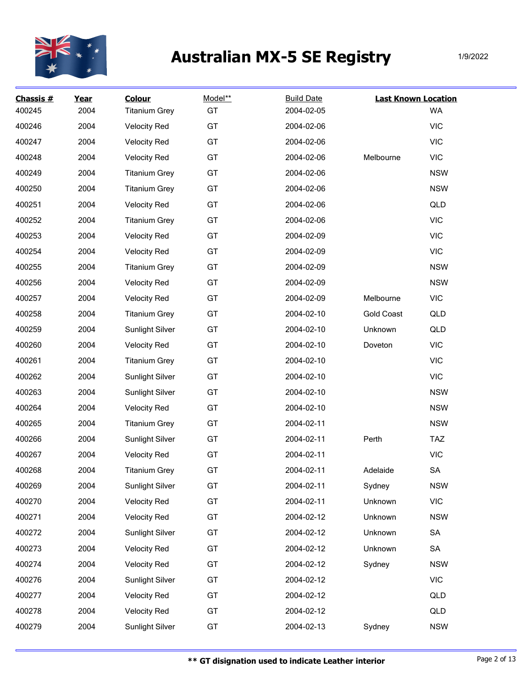

| Chassis #<br>400245 | Year<br>2004 | <b>Colour</b><br><b>Titanium Grey</b> | Model**<br>GT | <b>Build Date</b><br>2004-02-05 | <b>Last Known Location</b> | WA         |
|---------------------|--------------|---------------------------------------|---------------|---------------------------------|----------------------------|------------|
| 400246              | 2004         | <b>Velocity Red</b>                   | GT            | 2004-02-06                      |                            | <b>VIC</b> |
| 400247              | 2004         | <b>Velocity Red</b>                   | GT            | 2004-02-06                      |                            | <b>VIC</b> |
| 400248              | 2004         | <b>Velocity Red</b>                   | GT            | 2004-02-06                      | Melbourne                  | <b>VIC</b> |
| 400249              | 2004         | <b>Titanium Grey</b>                  | GT            | 2004-02-06                      |                            | <b>NSW</b> |
| 400250              | 2004         | <b>Titanium Grey</b>                  | GT            | 2004-02-06                      |                            | <b>NSW</b> |
| 400251              | 2004         | <b>Velocity Red</b>                   | GT            | 2004-02-06                      |                            | QLD        |
| 400252              | 2004         | <b>Titanium Grey</b>                  | GT            | 2004-02-06                      |                            | <b>VIC</b> |
| 400253              | 2004         | <b>Velocity Red</b>                   | GT            | 2004-02-09                      |                            | <b>VIC</b> |
| 400254              | 2004         | <b>Velocity Red</b>                   | GT            | 2004-02-09                      |                            | <b>VIC</b> |
| 400255              | 2004         | <b>Titanium Grey</b>                  | GT            | 2004-02-09                      |                            | <b>NSW</b> |
| 400256              | 2004         | <b>Velocity Red</b>                   | GT            | 2004-02-09                      |                            | <b>NSW</b> |
| 400257              | 2004         | <b>Velocity Red</b>                   | GT            | 2004-02-09                      | Melbourne                  | <b>VIC</b> |
| 400258              | 2004         | <b>Titanium Grey</b>                  | GT            | 2004-02-10                      | <b>Gold Coast</b>          | QLD        |
| 400259              | 2004         | Sunlight Silver                       | GT            | 2004-02-10                      | Unknown                    | QLD        |
| 400260              | 2004         | <b>Velocity Red</b>                   | GT            | 2004-02-10                      | Doveton                    | <b>VIC</b> |
| 400261              | 2004         | <b>Titanium Grey</b>                  | GT            | 2004-02-10                      |                            | <b>VIC</b> |
| 400262              | 2004         | Sunlight Silver                       | GT            | 2004-02-10                      |                            | <b>VIC</b> |
| 400263              | 2004         | Sunlight Silver                       | GT            | 2004-02-10                      |                            | <b>NSW</b> |
| 400264              | 2004         | <b>Velocity Red</b>                   | GT            | 2004-02-10                      |                            | <b>NSW</b> |
| 400265              | 2004         | <b>Titanium Grey</b>                  | GT            | 2004-02-11                      |                            | <b>NSW</b> |
| 400266              | 2004         | Sunlight Silver                       | GT            | 2004-02-11                      | Perth                      | <b>TAZ</b> |
| 400267              | 2004         | <b>Velocity Red</b>                   | GT            | 2004-02-11                      |                            | <b>VIC</b> |
| 400268              | 2004         | <b>Titanium Grey</b>                  | GT            | 2004-02-11                      | Adelaide                   | ${\sf SA}$ |
| 400269              | 2004         | <b>Sunlight Silver</b>                | GT            | 2004-02-11                      | Sydney                     | <b>NSW</b> |
| 400270              | 2004         | <b>Velocity Red</b>                   | GT            | 2004-02-11                      | Unknown                    | <b>VIC</b> |
| 400271              | 2004         | <b>Velocity Red</b>                   | GT            | 2004-02-12                      | Unknown                    | <b>NSW</b> |
| 400272              | 2004         | Sunlight Silver                       | GT            | 2004-02-12                      | Unknown                    | SA         |
| 400273              | 2004         | <b>Velocity Red</b>                   | GT            | 2004-02-12                      | Unknown                    | SA         |
| 400274              | 2004         | <b>Velocity Red</b>                   | GT            | 2004-02-12                      | Sydney                     | <b>NSW</b> |
| 400276              | 2004         | Sunlight Silver                       | GT            | 2004-02-12                      |                            | <b>VIC</b> |
| 400277              | 2004         | <b>Velocity Red</b>                   | GT            | 2004-02-12                      |                            | QLD        |
| 400278              | 2004         | <b>Velocity Red</b>                   | GT            | 2004-02-12                      |                            | QLD        |
| 400279              | 2004         | Sunlight Silver                       | GT            | 2004-02-13                      | Sydney                     | <b>NSW</b> |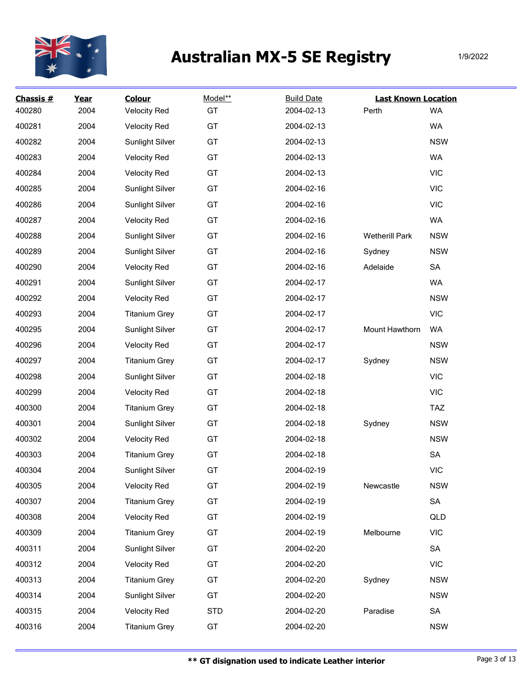

| Chassis # | Year | <b>Colour</b>          | Model**    | <b>Build Date</b> | <b>Last Known Location</b> |            |
|-----------|------|------------------------|------------|-------------------|----------------------------|------------|
| 400280    | 2004 | <b>Velocity Red</b>    | GT         | 2004-02-13        | Perth                      | <b>WA</b>  |
| 400281    | 2004 | <b>Velocity Red</b>    | GT         | 2004-02-13        |                            | WA         |
| 400282    | 2004 | <b>Sunlight Silver</b> | GT         | 2004-02-13        |                            | <b>NSW</b> |
| 400283    | 2004 | <b>Velocity Red</b>    | GT         | 2004-02-13        |                            | <b>WA</b>  |
| 400284    | 2004 | <b>Velocity Red</b>    | GT         | 2004-02-13        |                            | <b>VIC</b> |
| 400285    | 2004 | Sunlight Silver        | GT         | 2004-02-16        |                            | <b>VIC</b> |
| 400286    | 2004 | <b>Sunlight Silver</b> | GT         | 2004-02-16        |                            | <b>VIC</b> |
| 400287    | 2004 | <b>Velocity Red</b>    | GT         | 2004-02-16        |                            | WA         |
| 400288    | 2004 | <b>Sunlight Silver</b> | GT         | 2004-02-16        | <b>Wetherill Park</b>      | <b>NSW</b> |
| 400289    | 2004 | Sunlight Silver        | GT         | 2004-02-16        | Sydney                     | <b>NSW</b> |
| 400290    | 2004 | <b>Velocity Red</b>    | GT         | 2004-02-16        | Adelaide                   | SA         |
| 400291    | 2004 | Sunlight Silver        | GT         | 2004-02-17        |                            | WA         |
| 400292    | 2004 | <b>Velocity Red</b>    | GT         | 2004-02-17        |                            | <b>NSW</b> |
| 400293    | 2004 | <b>Titanium Grey</b>   | GT         | 2004-02-17        |                            | <b>VIC</b> |
| 400295    | 2004 | <b>Sunlight Silver</b> | GT         | 2004-02-17        | Mount Hawthorn             | WA         |
| 400296    | 2004 | <b>Velocity Red</b>    | GT         | 2004-02-17        |                            | <b>NSW</b> |
| 400297    | 2004 | <b>Titanium Grey</b>   | GT         | 2004-02-17        | Sydney                     | <b>NSW</b> |
| 400298    | 2004 | <b>Sunlight Silver</b> | GT         | 2004-02-18        |                            | <b>VIC</b> |
| 400299    | 2004 | <b>Velocity Red</b>    | GT         | 2004-02-18        |                            | <b>VIC</b> |
| 400300    | 2004 | <b>Titanium Grey</b>   | GT         | 2004-02-18        |                            | <b>TAZ</b> |
| 400301    | 2004 | <b>Sunlight Silver</b> | GT         | 2004-02-18        | Sydney                     | <b>NSW</b> |
| 400302    | 2004 | <b>Velocity Red</b>    | GT         | 2004-02-18        |                            | <b>NSW</b> |
| 400303    | 2004 | <b>Titanium Grey</b>   | GT         | 2004-02-18        |                            | SA         |
| 400304    | 2004 | <b>Sunlight Silver</b> | GT         | 2004-02-19        |                            | <b>VIC</b> |
| 400305    | 2004 | <b>Velocity Red</b>    | GT         | 2004-02-19        | Newcastle                  | <b>NSW</b> |
| 400307    | 2004 | <b>Titanium Grey</b>   | GT         | 2004-02-19        |                            | SA         |
| 400308    | 2004 | <b>Velocity Red</b>    | GT         | 2004-02-19        |                            | QLD        |
| 400309    | 2004 | <b>Titanium Grey</b>   | GT         | 2004-02-19        | Melbourne                  | <b>VIC</b> |
| 400311    | 2004 | Sunlight Silver        | GT         | 2004-02-20        |                            | SA         |
| 400312    | 2004 | <b>Velocity Red</b>    | GT         | 2004-02-20        |                            | <b>VIC</b> |
| 400313    | 2004 | <b>Titanium Grey</b>   | GT         | 2004-02-20        | Sydney                     | <b>NSW</b> |
| 400314    | 2004 | Sunlight Silver        | GT         | 2004-02-20        |                            | <b>NSW</b> |
| 400315    | 2004 | <b>Velocity Red</b>    | <b>STD</b> | 2004-02-20        | Paradise                   | SA         |
| 400316    | 2004 | <b>Titanium Grey</b>   | GT         | 2004-02-20        |                            | <b>NSW</b> |
|           |      |                        |            |                   |                            |            |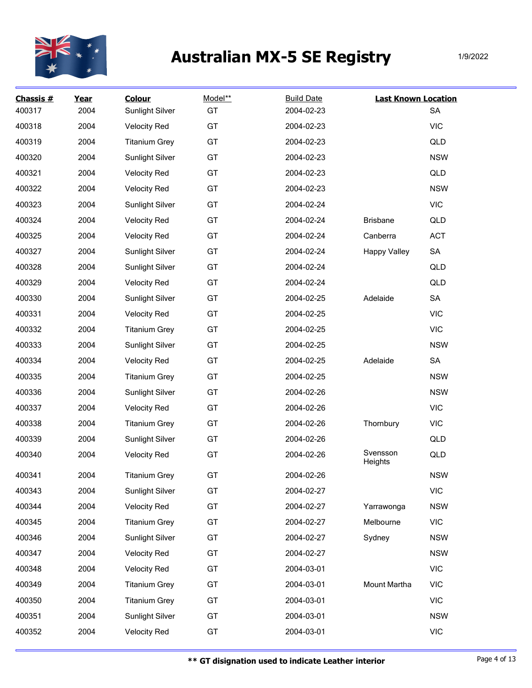

| Chassis $#$<br>400317 | Year<br>2004 | <b>Colour</b><br>Sunlight Silver | Model**<br>GT | <b>Build Date</b><br>2004-02-23 | <b>Last Known Location</b> | <b>SA</b>  |
|-----------------------|--------------|----------------------------------|---------------|---------------------------------|----------------------------|------------|
| 400318                | 2004         | <b>Velocity Red</b>              | GT            | 2004-02-23                      |                            | <b>VIC</b> |
| 400319                | 2004         | <b>Titanium Grey</b>             | GT            | 2004-02-23                      |                            | QLD        |
| 400320                | 2004         | Sunlight Silver                  | GT            | 2004-02-23                      |                            | <b>NSW</b> |
| 400321                | 2004         | <b>Velocity Red</b>              | GT            | 2004-02-23                      |                            | QLD        |
| 400322                | 2004         | <b>Velocity Red</b>              | GT            | 2004-02-23                      |                            | <b>NSW</b> |
| 400323                | 2004         | Sunlight Silver                  | GT            | 2004-02-24                      |                            | <b>VIC</b> |
| 400324                | 2004         | <b>Velocity Red</b>              | GT            | 2004-02-24                      | <b>Brisbane</b>            | QLD        |
| 400325                | 2004         | <b>Velocity Red</b>              | GT            | 2004-02-24                      | Canberra                   | <b>ACT</b> |
| 400327                | 2004         | Sunlight Silver                  | GT            | 2004-02-24                      | <b>Happy Valley</b>        | SA         |
| 400328                | 2004         | <b>Sunlight Silver</b>           | GT            | 2004-02-24                      |                            | QLD        |
| 400329                | 2004         | <b>Velocity Red</b>              | GT            | 2004-02-24                      |                            | QLD        |
| 400330                | 2004         | Sunlight Silver                  | GT            | 2004-02-25                      | Adelaide                   | SA         |
| 400331                | 2004         | <b>Velocity Red</b>              | GT            | 2004-02-25                      |                            | <b>VIC</b> |
| 400332                | 2004         | <b>Titanium Grey</b>             | GT            | 2004-02-25                      |                            | <b>VIC</b> |
| 400333                | 2004         | Sunlight Silver                  | GT            | 2004-02-25                      |                            | <b>NSW</b> |
| 400334                | 2004         | <b>Velocity Red</b>              | GT            | 2004-02-25                      | Adelaide                   | SA         |
| 400335                | 2004         | <b>Titanium Grey</b>             | GT            | 2004-02-25                      |                            | <b>NSW</b> |
| 400336                | 2004         | <b>Sunlight Silver</b>           | GT            | 2004-02-26                      |                            | <b>NSW</b> |
| 400337                | 2004         | <b>Velocity Red</b>              | GT            | 2004-02-26                      |                            | <b>VIC</b> |
| 400338                | 2004         | <b>Titanium Grey</b>             | GT            | 2004-02-26                      | Thornbury                  | <b>VIC</b> |
| 400339                | 2004         | Sunlight Silver                  | GT            | 2004-02-26                      |                            | QLD        |
| 400340                | 2004         | <b>Velocity Red</b>              | GT            | 2004-02-26                      | Svensson<br>Heights        | QLD        |
| 400341                | 2004         | <b>Titanium Grev</b>             | GT            | 2004-02-26                      |                            | <b>NSW</b> |
| 400343                | 2004         | <b>Sunlight Silver</b>           | GT            | 2004-02-27                      |                            | <b>VIC</b> |
| 400344                | 2004         | <b>Velocity Red</b>              | GT            | 2004-02-27                      | Yarrawonga                 | <b>NSW</b> |
| 400345                | 2004         | <b>Titanium Grey</b>             | GT            | 2004-02-27                      | Melbourne                  | VIC        |
| 400346                | 2004         | Sunlight Silver                  | GT            | 2004-02-27                      | Sydney                     | <b>NSW</b> |
| 400347                | 2004         | <b>Velocity Red</b>              | GT            | 2004-02-27                      |                            | <b>NSW</b> |
| 400348                | 2004         | <b>Velocity Red</b>              | GT            | 2004-03-01                      |                            | <b>VIC</b> |
| 400349                | 2004         | <b>Titanium Grey</b>             | GT            | 2004-03-01                      | Mount Martha               | <b>VIC</b> |
| 400350                | 2004         | <b>Titanium Grey</b>             | GT            | 2004-03-01                      |                            | <b>VIC</b> |
| 400351                | 2004         | Sunlight Silver                  | GT            | 2004-03-01                      |                            | <b>NSW</b> |
| 400352                | 2004         | <b>Velocity Red</b>              | GT            | 2004-03-01                      |                            | <b>VIC</b> |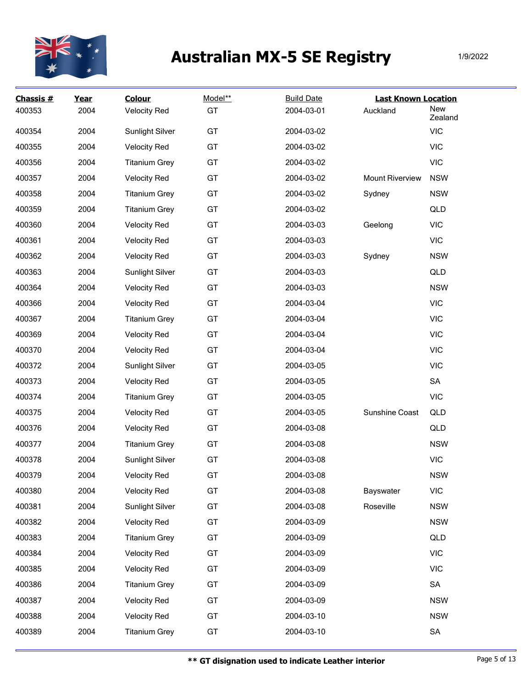

| Chassis #<br>400353 | Year<br>2004 | <b>Colour</b><br><b>Velocity Red</b> | Model**<br>GT | <b>Build Date</b><br>2004-03-01 | <b>Last Known Location</b><br>Auckland | New<br>Zealand |
|---------------------|--------------|--------------------------------------|---------------|---------------------------------|----------------------------------------|----------------|
| 400354              | 2004         | <b>Sunlight Silver</b>               | GT            | 2004-03-02                      |                                        | <b>VIC</b>     |
| 400355              | 2004         | <b>Velocity Red</b>                  | GT            | 2004-03-02                      |                                        | <b>VIC</b>     |
| 400356              | 2004         | <b>Titanium Grey</b>                 | GT            | 2004-03-02                      |                                        | <b>VIC</b>     |
| 400357              | 2004         | <b>Velocity Red</b>                  | GT            | 2004-03-02                      | <b>Mount Riverview</b>                 | <b>NSW</b>     |
| 400358              | 2004         | <b>Titanium Grey</b>                 | GT            | 2004-03-02                      | Sydney                                 | <b>NSW</b>     |
| 400359              | 2004         | <b>Titanium Grey</b>                 | GT            | 2004-03-02                      |                                        | QLD            |
| 400360              | 2004         | <b>Velocity Red</b>                  | GT            | 2004-03-03                      | Geelong                                | <b>VIC</b>     |
| 400361              | 2004         | <b>Velocity Red</b>                  | GT            | 2004-03-03                      |                                        | <b>VIC</b>     |
| 400362              | 2004         | <b>Velocity Red</b>                  | GT            | 2004-03-03                      | Sydney                                 | <b>NSW</b>     |
| 400363              | 2004         | <b>Sunlight Silver</b>               | GT            | 2004-03-03                      |                                        | QLD            |
| 400364              | 2004         | <b>Velocity Red</b>                  | GT            | 2004-03-03                      |                                        | <b>NSW</b>     |
| 400366              | 2004         | <b>Velocity Red</b>                  | GT            | 2004-03-04                      |                                        | <b>VIC</b>     |
| 400367              | 2004         | <b>Titanium Grey</b>                 | GT            | 2004-03-04                      |                                        | <b>VIC</b>     |
| 400369              | 2004         | <b>Velocity Red</b>                  | GT            | 2004-03-04                      |                                        | <b>VIC</b>     |
| 400370              | 2004         | <b>Velocity Red</b>                  | GT            | 2004-03-04                      |                                        | <b>VIC</b>     |
| 400372              | 2004         | <b>Sunlight Silver</b>               | GT            | 2004-03-05                      |                                        | <b>VIC</b>     |
| 400373              | 2004         | <b>Velocity Red</b>                  | GT            | 2004-03-05                      |                                        | ${\sf SA}$     |
| 400374              | 2004         | <b>Titanium Grey</b>                 | GT            | 2004-03-05                      |                                        | <b>VIC</b>     |
| 400375              | 2004         | <b>Velocity Red</b>                  | GT            | 2004-03-05                      | Sunshine Coast                         | QLD            |
| 400376              | 2004         | <b>Velocity Red</b>                  | GT            | 2004-03-08                      |                                        | QLD            |
| 400377              | 2004         | <b>Titanium Grey</b>                 | GT            | 2004-03-08                      |                                        | <b>NSW</b>     |
| 400378              | 2004         | <b>Sunlight Silver</b>               | GT            | 2004-03-08                      |                                        | <b>VIC</b>     |
| 400379              | 2004         | <b>Velocity Red</b>                  | GT            | 2004-03-08                      |                                        | <b>NSW</b>     |
| 400380              | 2004         | <b>Velocity Red</b>                  | GT            | 2004-03-08                      | Bayswater                              | <b>VIC</b>     |
| 400381              | 2004         | <b>Sunlight Silver</b>               | GT            | 2004-03-08                      | Roseville                              | <b>NSW</b>     |
| 400382              | 2004         | <b>Velocity Red</b>                  | GT            | 2004-03-09                      |                                        | <b>NSW</b>     |
| 400383              | 2004         | <b>Titanium Grey</b>                 | GT            | 2004-03-09                      |                                        | QLD            |
| 400384              | 2004         | <b>Velocity Red</b>                  | GT            | 2004-03-09                      |                                        | <b>VIC</b>     |
| 400385              | 2004         | <b>Velocity Red</b>                  | GT            | 2004-03-09                      |                                        | <b>VIC</b>     |
| 400386              | 2004         | <b>Titanium Grey</b>                 | GT            | 2004-03-09                      |                                        | SA             |
| 400387              | 2004         | <b>Velocity Red</b>                  | GT            | 2004-03-09                      |                                        | <b>NSW</b>     |
| 400388              | 2004         | <b>Velocity Red</b>                  | GT            | 2004-03-10                      |                                        | <b>NSW</b>     |
| 400389              | 2004         | <b>Titanium Grey</b>                 | GT            | 2004-03-10                      |                                        | SA             |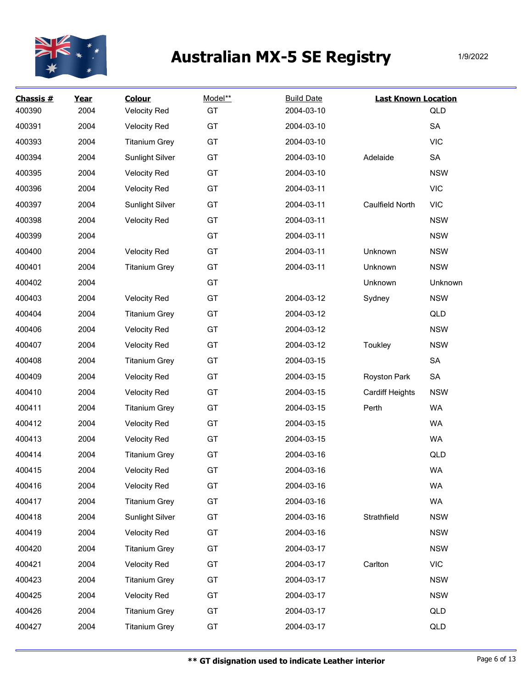

| Chassis #<br>400390 | Year<br>2004 | <b>Colour</b><br><b>Velocity Red</b> | Model**<br>GT | <b>Build Date</b><br>2004-03-10 | <b>Last Known Location</b> | QLD        |
|---------------------|--------------|--------------------------------------|---------------|---------------------------------|----------------------------|------------|
| 400391              | 2004         | <b>Velocity Red</b>                  | GT            | 2004-03-10                      |                            | SA         |
| 400393              | 2004         | <b>Titanium Grey</b>                 | GT            | 2004-03-10                      |                            | <b>VIC</b> |
| 400394              | 2004         | Sunlight Silver                      | GT            | 2004-03-10                      | Adelaide                   | ${\sf SA}$ |
| 400395              | 2004         | <b>Velocity Red</b>                  | GT            | 2004-03-10                      |                            | <b>NSW</b> |
| 400396              | 2004         | <b>Velocity Red</b>                  | GT            | 2004-03-11                      |                            | <b>VIC</b> |
| 400397              | 2004         | Sunlight Silver                      | GT            | 2004-03-11                      | Caulfield North            | <b>VIC</b> |
| 400398              | 2004         | <b>Velocity Red</b>                  | GT            | 2004-03-11                      |                            | <b>NSW</b> |
| 400399              | 2004         |                                      | GT            | 2004-03-11                      |                            | <b>NSW</b> |
| 400400              | 2004         | <b>Velocity Red</b>                  | GT            | 2004-03-11                      | Unknown                    | <b>NSW</b> |
| 400401              | 2004         | <b>Titanium Grey</b>                 | GT            | 2004-03-11                      | Unknown                    | <b>NSW</b> |
| 400402              | 2004         |                                      | GT            |                                 | Unknown                    | Unknown    |
| 400403              | 2004         | <b>Velocity Red</b>                  | GT            | 2004-03-12                      | Sydney                     | <b>NSW</b> |
| 400404              | 2004         | <b>Titanium Grey</b>                 | GT            | 2004-03-12                      |                            | QLD        |
| 400406              | 2004         | <b>Velocity Red</b>                  | GT            | 2004-03-12                      |                            | <b>NSW</b> |
| 400407              | 2004         | <b>Velocity Red</b>                  | GT            | 2004-03-12                      | Toukley                    | <b>NSW</b> |
| 400408              | 2004         | <b>Titanium Grey</b>                 | GT            | 2004-03-15                      |                            | ${\sf SA}$ |
| 400409              | 2004         | <b>Velocity Red</b>                  | GT            | 2004-03-15                      | Royston Park               | SA         |
| 400410              | 2004         | <b>Velocity Red</b>                  | GT            | 2004-03-15                      | Cardiff Heights            | <b>NSW</b> |
| 400411              | 2004         | <b>Titanium Grey</b>                 | GT            | 2004-03-15                      | Perth                      | <b>WA</b>  |
| 400412              | 2004         | <b>Velocity Red</b>                  | GT            | 2004-03-15                      |                            | <b>WA</b>  |
| 400413              | 2004         | <b>Velocity Red</b>                  | GT            | 2004-03-15                      |                            | <b>WA</b>  |
| 400414              | 2004         | <b>Titanium Grey</b>                 | GT            | 2004-03-16                      |                            | QLD        |
| 400415              | 2004         | <b>Velocity Red</b>                  | GT            | 2004-03-16                      |                            | <b>WA</b>  |
| 400416              | 2004         | <b>Velocity Red</b>                  | GT            | 2004-03-16                      |                            | WA         |
| 400417              | 2004         | <b>Titanium Grey</b>                 | GT            | 2004-03-16                      |                            | <b>WA</b>  |
| 400418              | 2004         | Sunlight Silver                      | GT            | 2004-03-16                      | Strathfield                | <b>NSW</b> |
| 400419              | 2004         | <b>Velocity Red</b>                  | GT            | 2004-03-16                      |                            | <b>NSW</b> |
| 400420              | 2004         | <b>Titanium Grey</b>                 | GT            | 2004-03-17                      |                            | <b>NSW</b> |
| 400421              | 2004         | <b>Velocity Red</b>                  | GT            | 2004-03-17                      | Carlton                    | <b>VIC</b> |
| 400423              | 2004         | <b>Titanium Grey</b>                 | GT            | 2004-03-17                      |                            | <b>NSW</b> |
| 400425              | 2004         | <b>Velocity Red</b>                  | GT            | 2004-03-17                      |                            | <b>NSW</b> |
| 400426              | 2004         | <b>Titanium Grey</b>                 | GT            | 2004-03-17                      |                            | QLD        |
| 400427              | 2004         | <b>Titanium Grey</b>                 | GT            | 2004-03-17                      |                            | QLD        |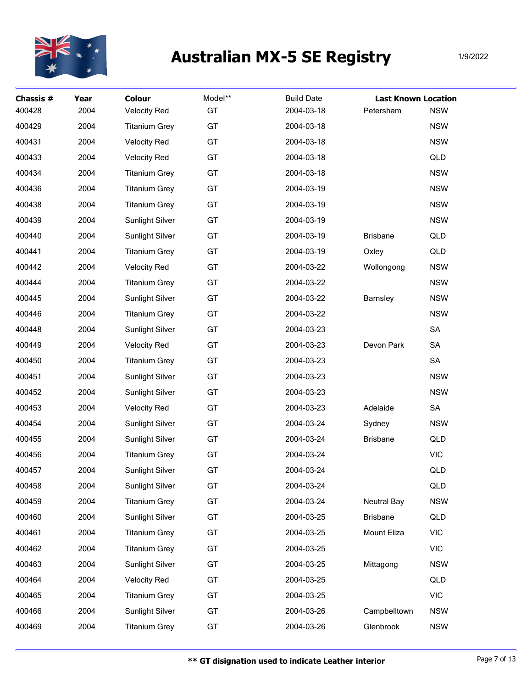

| Chassis #<br>400428 | Year<br>2004 | <b>Colour</b><br><b>Velocity Red</b> | Model**<br>GT | <b>Build Date</b><br>2004-03-18 | <b>Last Known Location</b><br>Petersham | <b>NSW</b> |
|---------------------|--------------|--------------------------------------|---------------|---------------------------------|-----------------------------------------|------------|
| 400429              | 2004         | <b>Titanium Grey</b>                 | GT            | 2004-03-18                      |                                         | <b>NSW</b> |
| 400431              | 2004         | <b>Velocity Red</b>                  | GT            | 2004-03-18                      |                                         | <b>NSW</b> |
| 400433              | 2004         | <b>Velocity Red</b>                  | GT            | 2004-03-18                      |                                         | QLD        |
| 400434              | 2004         | <b>Titanium Grey</b>                 | GT            | 2004-03-18                      |                                         | <b>NSW</b> |
| 400436              | 2004         | <b>Titanium Grey</b>                 | GT            | 2004-03-19                      |                                         | <b>NSW</b> |
| 400438              | 2004         | <b>Titanium Grey</b>                 | GT            | 2004-03-19                      |                                         | <b>NSW</b> |
| 400439              | 2004         | Sunlight Silver                      | GT            | 2004-03-19                      |                                         | <b>NSW</b> |
| 400440              | 2004         | <b>Sunlight Silver</b>               | GT            | 2004-03-19                      | <b>Brisbane</b>                         | QLD        |
| 400441              | 2004         | <b>Titanium Grey</b>                 | GT            | 2004-03-19                      | Oxley                                   | QLD        |
| 400442              | 2004         | <b>Velocity Red</b>                  | GT            | 2004-03-22                      | Wollongong                              | <b>NSW</b> |
| 400444              | 2004         | <b>Titanium Grey</b>                 | GT            | 2004-03-22                      |                                         | <b>NSW</b> |
| 400445              | 2004         | Sunlight Silver                      | GT            | 2004-03-22                      | <b>Barnsley</b>                         | <b>NSW</b> |
| 400446              | 2004         | <b>Titanium Grey</b>                 | GT            | 2004-03-22                      |                                         | <b>NSW</b> |
| 400448              | 2004         | Sunlight Silver                      | GT            | 2004-03-23                      |                                         | SA         |
| 400449              | 2004         | <b>Velocity Red</b>                  | GT            | 2004-03-23                      | Devon Park                              | SA         |
| 400450              | 2004         | <b>Titanium Grey</b>                 | GT            | 2004-03-23                      |                                         | SA         |
| 400451              | 2004         | Sunlight Silver                      | GT            | 2004-03-23                      |                                         | <b>NSW</b> |
| 400452              | 2004         | <b>Sunlight Silver</b>               | GT            | 2004-03-23                      |                                         | <b>NSW</b> |
| 400453              | 2004         | <b>Velocity Red</b>                  | GT            | 2004-03-23                      | Adelaide                                | SA         |
| 400454              | 2004         | Sunlight Silver                      | GT            | 2004-03-24                      | Sydney                                  | <b>NSW</b> |
| 400455              | 2004         | Sunlight Silver                      | GT            | 2004-03-24                      | <b>Brisbane</b>                         | QLD        |
| 400456              | 2004         | <b>Titanium Grey</b>                 | GT            | 2004-03-24                      |                                         | <b>VIC</b> |
| 400457              | 2004         | Sunlight Silver                      | GT            | 2004-03-24                      |                                         | QLD        |
| 400458              | 2004         | Sunlight Silver                      | GT            | 2004-03-24                      |                                         | QLD        |
| 400459              | 2004         | <b>Titanium Grey</b>                 | GT            | 2004-03-24                      | <b>Neutral Bay</b>                      | <b>NSW</b> |
| 400460              | 2004         | Sunlight Silver                      | GT            | 2004-03-25                      | <b>Brisbane</b>                         | QLD        |
| 400461              | 2004         | <b>Titanium Grey</b>                 | GT            | 2004-03-25                      | Mount Eliza                             | <b>VIC</b> |
| 400462              | 2004         | <b>Titanium Grey</b>                 | GT            | 2004-03-25                      |                                         | <b>VIC</b> |
| 400463              | 2004         | Sunlight Silver                      | GT            | 2004-03-25                      | Mittagong                               | <b>NSW</b> |
| 400464              | 2004         | <b>Velocity Red</b>                  | GT            | 2004-03-25                      |                                         | QLD        |
| 400465              | 2004         | <b>Titanium Grey</b>                 | GT            | 2004-03-25                      |                                         | <b>VIC</b> |
| 400466              | 2004         | Sunlight Silver                      | GT            | 2004-03-26                      | Campbelltown                            | <b>NSW</b> |
| 400469              | 2004         | <b>Titanium Grey</b>                 | GT            | 2004-03-26                      | Glenbrook                               | <b>NSW</b> |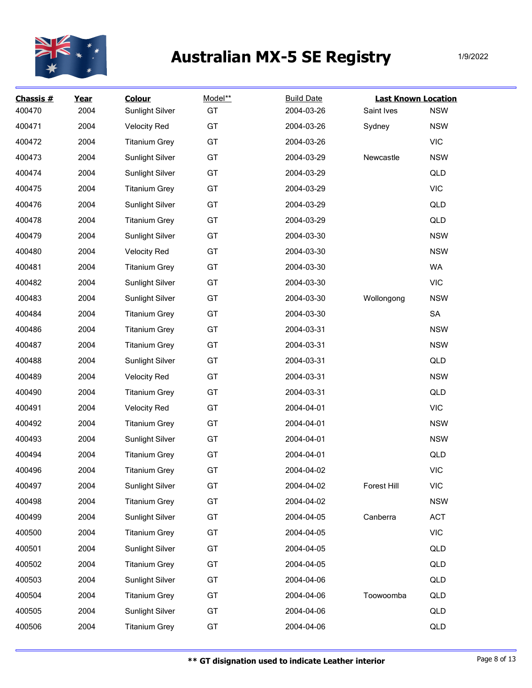

| Chassis #<br>400470 | Year<br>2004 | <b>Colour</b><br>Sunlight Silver | Model**<br>GT | <b>Build Date</b><br>2004-03-26 | <b>Last Known Location</b><br>Saint Ives | <b>NSW</b> |
|---------------------|--------------|----------------------------------|---------------|---------------------------------|------------------------------------------|------------|
| 400471              | 2004         | <b>Velocity Red</b>              | GT            | 2004-03-26                      | Sydney                                   | <b>NSW</b> |
| 400472              | 2004         | <b>Titanium Grey</b>             | GT            | 2004-03-26                      |                                          | <b>VIC</b> |
| 400473              | 2004         | <b>Sunlight Silver</b>           | GT            | 2004-03-29                      | Newcastle                                | <b>NSW</b> |
| 400474              | 2004         | <b>Sunlight Silver</b>           | GT            | 2004-03-29                      |                                          | QLD        |
| 400475              | 2004         | <b>Titanium Grey</b>             | GT            | 2004-03-29                      |                                          | <b>VIC</b> |
| 400476              | 2004         | <b>Sunlight Silver</b>           | GT            | 2004-03-29                      |                                          | QLD        |
| 400478              | 2004         | <b>Titanium Grey</b>             | GT            | 2004-03-29                      |                                          | QLD        |
| 400479              | 2004         | <b>Sunlight Silver</b>           | GT            | 2004-03-30                      |                                          | <b>NSW</b> |
| 400480              | 2004         | <b>Velocity Red</b>              | GT            | 2004-03-30                      |                                          | <b>NSW</b> |
| 400481              | 2004         | <b>Titanium Grey</b>             | GT            | 2004-03-30                      |                                          | WA         |
| 400482              | 2004         | <b>Sunlight Silver</b>           | GT            | 2004-03-30                      |                                          | <b>VIC</b> |
| 400483              | 2004         | <b>Sunlight Silver</b>           | GT            | 2004-03-30                      | Wollongong                               | <b>NSW</b> |
| 400484              | 2004         | <b>Titanium Grey</b>             | GT            | 2004-03-30                      |                                          | ${\sf SA}$ |
| 400486              | 2004         | <b>Titanium Grey</b>             | GT            | 2004-03-31                      |                                          | <b>NSW</b> |
| 400487              | 2004         | <b>Titanium Grey</b>             | GT            | 2004-03-31                      |                                          | <b>NSW</b> |
| 400488              | 2004         | <b>Sunlight Silver</b>           | GT            | 2004-03-31                      |                                          | QLD        |
| 400489              | 2004         | <b>Velocity Red</b>              | GT            | 2004-03-31                      |                                          | <b>NSW</b> |
| 400490              | 2004         | <b>Titanium Grey</b>             | GT            | 2004-03-31                      |                                          | QLD        |
| 400491              | 2004         | <b>Velocity Red</b>              | GT            | 2004-04-01                      |                                          | <b>VIC</b> |
| 400492              | 2004         | <b>Titanium Grey</b>             | GT            | 2004-04-01                      |                                          | <b>NSW</b> |
| 400493              | 2004         | <b>Sunlight Silver</b>           | GT            | 2004-04-01                      |                                          | <b>NSW</b> |
| 400494              | 2004         | <b>Titanium Grey</b>             | GT            | 2004-04-01                      |                                          | QLD        |
| 400496              | 2004         | <b>Titanium Grey</b>             | GT            | 2004-04-02                      |                                          | <b>VIC</b> |
| 400497              | 2004         | <b>Sunlight Silver</b>           | GT            | 2004-04-02                      | Forest Hill                              | <b>VIC</b> |
| 400498              | 2004         | <b>Titanium Grey</b>             | GT            | 2004-04-02                      |                                          | <b>NSW</b> |
| 400499              | 2004         | <b>Sunlight Silver</b>           | GT            | 2004-04-05                      | Canberra                                 | <b>ACT</b> |
| 400500              | 2004         | <b>Titanium Grey</b>             | GT            | 2004-04-05                      |                                          | <b>VIC</b> |
| 400501              | 2004         | <b>Sunlight Silver</b>           | GT            | 2004-04-05                      |                                          | QLD        |
| 400502              | 2004         | <b>Titanium Grey</b>             | GT            | 2004-04-05                      |                                          | QLD        |
| 400503              | 2004         | <b>Sunlight Silver</b>           | GT            | 2004-04-06                      |                                          | QLD        |
| 400504              | 2004         | <b>Titanium Grey</b>             | GT            | 2004-04-06                      | Toowoomba                                | QLD        |
| 400505              | 2004         | <b>Sunlight Silver</b>           | GT            | 2004-04-06                      |                                          | QLD        |
| 400506              | 2004         | <b>Titanium Grey</b>             | GT            | 2004-04-06                      |                                          | QLD        |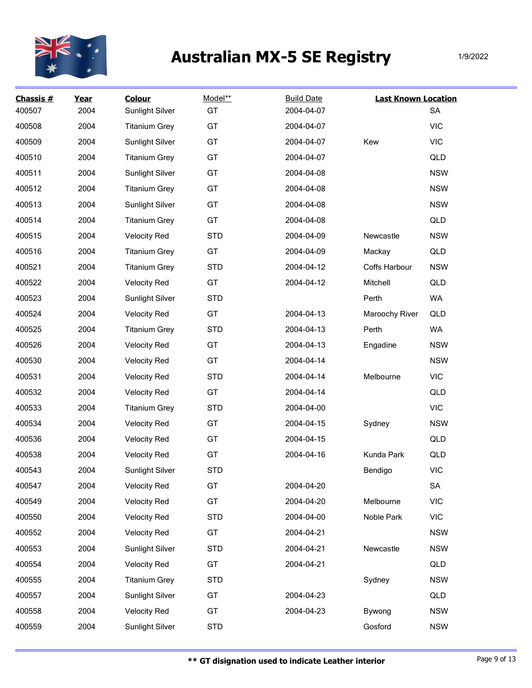

| Chassis #<br>400507 | Year<br>2004 | <b>Colour</b><br>Sunlight Silver | Model**<br>GT | <b>Build Date</b><br>2004-04-07 | <b>Last Known Location</b> | SA         |
|---------------------|--------------|----------------------------------|---------------|---------------------------------|----------------------------|------------|
| 400508              | 2004         | <b>Titanium Grey</b>             | GT            | 2004-04-07                      |                            | <b>VIC</b> |
| 400509              | 2004         | <b>Sunlight Silver</b>           | GT            | 2004-04-07                      | Kew                        | <b>VIC</b> |
| 400510              | 2004         | <b>Titanium Grey</b>             | GT            | 2004-04-07                      |                            | QLD        |
| 400511              | 2004         | <b>Sunlight Silver</b>           | GT            | 2004-04-08                      |                            | <b>NSW</b> |
| 400512              | 2004         | <b>Titanium Grey</b>             | GT            | 2004-04-08                      |                            | <b>NSW</b> |
| 400513              | 2004         | <b>Sunlight Silver</b>           | GT            | 2004-04-08                      |                            | <b>NSW</b> |
| 400514              | 2004         | <b>Titanium Grey</b>             | GT            | 2004-04-08                      |                            | QLD        |
| 400515              | 2004         | <b>Velocity Red</b>              | <b>STD</b>    | 2004-04-09                      | Newcastle                  | <b>NSW</b> |
| 400516              | 2004         | <b>Titanium Grey</b>             | GT            | 2004-04-09                      | Mackay                     | QLD        |
| 400521              | 2004         | <b>Titanium Grey</b>             | <b>STD</b>    | 2004-04-12                      | Coffs Harbour              | <b>NSW</b> |
| 400522              | 2004         | <b>Velocity Red</b>              | GT            | 2004-04-12                      | Mitchell                   | QLD        |
| 400523              | 2004         | Sunlight Silver                  | <b>STD</b>    |                                 | Perth                      | WA         |
| 400524              | 2004         | <b>Velocity Red</b>              | GT            | 2004-04-13                      | Maroochy River             | QLD        |
| 400525              | 2004         | <b>Titanium Grey</b>             | <b>STD</b>    | 2004-04-13                      | Perth                      | WA         |
| 400526              | 2004         | <b>Velocity Red</b>              | GT            | 2004-04-13                      | Engadine                   | <b>NSW</b> |
| 400530              | 2004         | <b>Velocity Red</b>              | GT            | 2004-04-14                      |                            | <b>NSW</b> |
| 400531              | 2004         | <b>Velocity Red</b>              | <b>STD</b>    | 2004-04-14                      | Melbourne                  | <b>VIC</b> |
| 400532              | 2004         | <b>Velocity Red</b>              | GT            | 2004-04-14                      |                            | QLD        |
| 400533              | 2004         | <b>Titanium Grey</b>             | <b>STD</b>    | 2004-04-00                      |                            | <b>VIC</b> |
| 400534              | 2004         | <b>Velocity Red</b>              | GT            | 2004-04-15                      | Sydney                     | <b>NSW</b> |
| 400536              | 2004         | <b>Velocity Red</b>              | GT            | 2004-04-15                      |                            | QLD        |
| 400538              | 2004         | <b>Velocity Red</b>              | GT            | 2004-04-16                      | Kunda Park                 | QLD        |
| 400543              | 2004         | <b>Sunlight Silver</b>           | <b>STD</b>    |                                 | Bendigo                    | <b>VIC</b> |
| 400547              | 2004         | <b>Velocity Red</b>              | GT            | 2004-04-20                      |                            | ${\sf SA}$ |
| 400549              | 2004         | <b>Velocity Red</b>              | GT            | 2004-04-20                      | Melbourne                  | <b>VIC</b> |
| 400550              | 2004         | <b>Velocity Red</b>              | <b>STD</b>    | 2004-04-00                      | Noble Park                 | <b>VIC</b> |
| 400552              | 2004         | <b>Velocity Red</b>              | GT            | 2004-04-21                      |                            | <b>NSW</b> |
| 400553              | 2004         | <b>Sunlight Silver</b>           | <b>STD</b>    | 2004-04-21                      | Newcastle                  | <b>NSW</b> |
| 400554              | 2004         | <b>Velocity Red</b>              | GT            | 2004-04-21                      |                            | QLD        |
| 400555              | 2004         | <b>Titanium Grey</b>             | <b>STD</b>    |                                 | Sydney                     | <b>NSW</b> |
| 400557              | 2004         | Sunlight Silver                  | GT            | 2004-04-23                      |                            | QLD        |
| 400558              | 2004         | <b>Velocity Red</b>              | GT            | 2004-04-23                      | Bywong                     | <b>NSW</b> |
| 400559              | 2004         | Sunlight Silver                  | <b>STD</b>    |                                 | Gosford                    | <b>NSW</b> |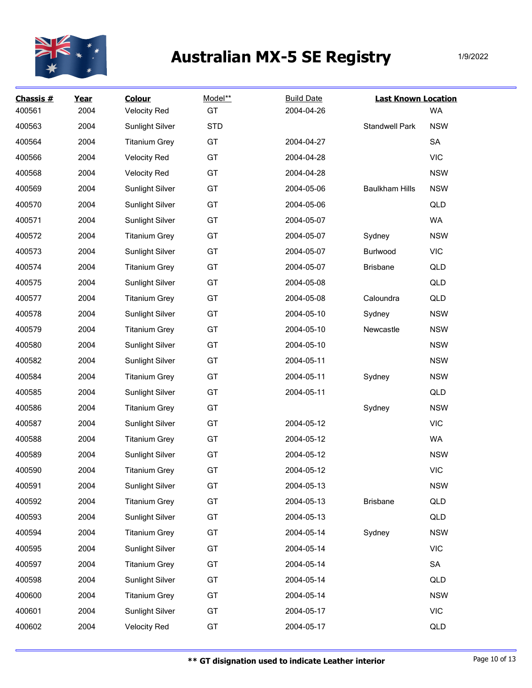

| Chassis #<br>400561 | Year<br>2004 | <b>Colour</b><br><b>Velocity Red</b> | Model**<br>GT | <b>Build Date</b><br>2004-04-26 | <b>Last Known Location</b> | <b>WA</b>  |
|---------------------|--------------|--------------------------------------|---------------|---------------------------------|----------------------------|------------|
| 400563              | 2004         | Sunlight Silver                      | <b>STD</b>    |                                 | <b>Standwell Park</b>      | <b>NSW</b> |
| 400564              | 2004         | <b>Titanium Grey</b>                 | GT            | 2004-04-27                      |                            | SA         |
| 400566              | 2004         | <b>Velocity Red</b>                  | GT            | 2004-04-28                      |                            | <b>VIC</b> |
| 400568              | 2004         | <b>Velocity Red</b>                  | GT            | 2004-04-28                      |                            | <b>NSW</b> |
| 400569              | 2004         | Sunlight Silver                      | GT            | 2004-05-06                      | <b>Baulkham Hills</b>      | <b>NSW</b> |
| 400570              | 2004         | <b>Sunlight Silver</b>               | GT            | 2004-05-06                      |                            | QLD        |
| 400571              | 2004         | <b>Sunlight Silver</b>               | GT            | 2004-05-07                      |                            | <b>WA</b>  |
| 400572              | 2004         | <b>Titanium Grey</b>                 | GT            | 2004-05-07                      | Sydney                     | <b>NSW</b> |
| 400573              | 2004         | <b>Sunlight Silver</b>               | GT            | 2004-05-07                      | Burlwood                   | <b>VIC</b> |
| 400574              | 2004         | <b>Titanium Grey</b>                 | GT            | 2004-05-07                      | <b>Brisbane</b>            | QLD        |
| 400575              | 2004         | <b>Sunlight Silver</b>               | GT            | 2004-05-08                      |                            | QLD        |
| 400577              | 2004         | <b>Titanium Grey</b>                 | GT            | 2004-05-08                      | Caloundra                  | QLD        |
| 400578              | 2004         | <b>Sunlight Silver</b>               | GT            | 2004-05-10                      | Sydney                     | <b>NSW</b> |
| 400579              | 2004         | <b>Titanium Grey</b>                 | GT            | 2004-05-10                      | Newcastle                  | <b>NSW</b> |
| 400580              | 2004         | <b>Sunlight Silver</b>               | GT            | 2004-05-10                      |                            | <b>NSW</b> |
| 400582              | 2004         | Sunlight Silver                      | GT            | 2004-05-11                      |                            | <b>NSW</b> |
| 400584              | 2004         | <b>Titanium Grey</b>                 | GT            | 2004-05-11                      | Sydney                     | <b>NSW</b> |
| 400585              | 2004         | <b>Sunlight Silver</b>               | GT            | 2004-05-11                      |                            | QLD        |
| 400586              | 2004         | <b>Titanium Grey</b>                 | GT            |                                 | Sydney                     | <b>NSW</b> |
| 400587              | 2004         | Sunlight Silver                      | GT            | 2004-05-12                      |                            | <b>VIC</b> |
| 400588              | 2004         | <b>Titanium Grey</b>                 | GT            | 2004-05-12                      |                            | <b>WA</b>  |
| 400589              | 2004         | <b>Sunlight Silver</b>               | GT            | 2004-05-12                      |                            | <b>NSW</b> |
| 400590              | 2004         | <b>Titanium Grey</b>                 | GT            | 2004-05-12                      |                            | <b>VIC</b> |
| 400591              | 2004         | <b>Sunlight Silver</b>               | GT            | 2004-05-13                      |                            | <b>NSW</b> |
| 400592              | 2004         | <b>Titanium Grey</b>                 | GT            | 2004-05-13                      | <b>Brisbane</b>            | QLD        |
| 400593              | 2004         | Sunlight Silver                      | GT            | 2004-05-13                      |                            | QLD        |
| 400594              | 2004         | <b>Titanium Grey</b>                 | GT            | 2004-05-14                      | Sydney                     | <b>NSW</b> |
| 400595              | 2004         | Sunlight Silver                      | GT            | 2004-05-14                      |                            | <b>VIC</b> |
| 400597              | 2004         | <b>Titanium Grey</b>                 | GT            | 2004-05-14                      |                            | SA         |
| 400598              | 2004         | Sunlight Silver                      | GT            | 2004-05-14                      |                            | QLD        |
| 400600              | 2004         | <b>Titanium Grey</b>                 | GT            | 2004-05-14                      |                            | <b>NSW</b> |
| 400601              | 2004         | Sunlight Silver                      | GT            | 2004-05-17                      |                            | <b>VIC</b> |
| 400602              | 2004         | <b>Velocity Red</b>                  | GT            | 2004-05-17                      |                            | QLD        |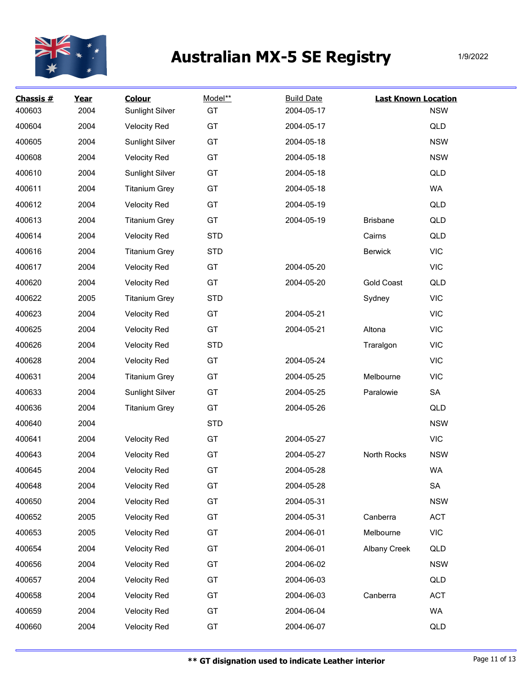

| Chassis #<br>400603 | Year<br>2004 | <b>Colour</b><br><b>Sunlight Silver</b> | Model**<br>GT | <b>Build Date</b><br>2004-05-17 | <b>Last Known Location</b> | <b>NSW</b> |
|---------------------|--------------|-----------------------------------------|---------------|---------------------------------|----------------------------|------------|
| 400604              | 2004         | <b>Velocity Red</b>                     | GT            | 2004-05-17                      |                            | QLD        |
| 400605              | 2004         | Sunlight Silver                         | GT            | 2004-05-18                      |                            | <b>NSW</b> |
| 400608              | 2004         | <b>Velocity Red</b>                     | GT            | 2004-05-18                      |                            | <b>NSW</b> |
| 400610              | 2004         | <b>Sunlight Silver</b>                  | GT            | 2004-05-18                      |                            | QLD        |
| 400611              | 2004         | <b>Titanium Grey</b>                    | GT            | 2004-05-18                      |                            | WA         |
| 400612              | 2004         | <b>Velocity Red</b>                     | GT            | 2004-05-19                      |                            | QLD        |
| 400613              | 2004         | <b>Titanium Grey</b>                    | GT            | 2004-05-19                      | <b>Brisbane</b>            | QLD        |
| 400614              | 2004         | <b>Velocity Red</b>                     | <b>STD</b>    |                                 | Cairns                     | QLD        |
| 400616              | 2004         | <b>Titanium Grey</b>                    | <b>STD</b>    |                                 | <b>Berwick</b>             | <b>VIC</b> |
| 400617              | 2004         | <b>Velocity Red</b>                     | GT            | 2004-05-20                      |                            | <b>VIC</b> |
| 400620              | 2004         | <b>Velocity Red</b>                     | GT            | 2004-05-20                      | <b>Gold Coast</b>          | QLD        |
| 400622              | 2005         | <b>Titanium Grey</b>                    | <b>STD</b>    |                                 | Sydney                     | <b>VIC</b> |
| 400623              | 2004         | <b>Velocity Red</b>                     | GT            | 2004-05-21                      |                            | <b>VIC</b> |
| 400625              | 2004         | <b>Velocity Red</b>                     | GT            | 2004-05-21                      | Altona                     | <b>VIC</b> |
| 400626              | 2004         | <b>Velocity Red</b>                     | <b>STD</b>    |                                 | Traralgon                  | <b>VIC</b> |
| 400628              | 2004         | <b>Velocity Red</b>                     | GT            | 2004-05-24                      |                            | <b>VIC</b> |
| 400631              | 2004         | <b>Titanium Grey</b>                    | GT            | 2004-05-25                      | Melbourne                  | <b>VIC</b> |
| 400633              | 2004         | <b>Sunlight Silver</b>                  | GT            | 2004-05-25                      | Paralowie                  | SA         |
| 400636              | 2004         | <b>Titanium Grey</b>                    | GT            | 2004-05-26                      |                            | QLD        |
| 400640              | 2004         |                                         | <b>STD</b>    |                                 |                            | <b>NSW</b> |
| 400641              | 2004         | <b>Velocity Red</b>                     | GT            | 2004-05-27                      |                            | <b>VIC</b> |
| 400643              | 2004         | <b>Velocity Red</b>                     | GT            | 2004-05-27                      | North Rocks                | <b>NSW</b> |
| 400645              | 2004         | <b>Velocity Red</b>                     | GT            | 2004-05-28                      |                            | WA         |
| 400648              | 2004         | <b>Velocity Red</b>                     | GT            | 2004-05-28                      |                            | SA         |
| 400650              | 2004         | <b>Velocity Red</b>                     | GT            | 2004-05-31                      |                            | <b>NSW</b> |
| 400652              | 2005         | <b>Velocity Red</b>                     | GT            | 2004-05-31                      | Canberra                   | ACT        |
| 400653              | 2005         | <b>Velocity Red</b>                     | GT            | 2004-06-01                      | Melbourne                  | <b>VIC</b> |
| 400654              | 2004         | <b>Velocity Red</b>                     | GT            | 2004-06-01                      | <b>Albany Creek</b>        | QLD        |
| 400656              | 2004         | <b>Velocity Red</b>                     | GT            | 2004-06-02                      |                            | <b>NSW</b> |
| 400657              | 2004         | <b>Velocity Red</b>                     | GT            | 2004-06-03                      |                            | QLD        |
| 400658              | 2004         | <b>Velocity Red</b>                     | GT            | 2004-06-03                      | Canberra                   | <b>ACT</b> |
| 400659              | 2004         | <b>Velocity Red</b>                     | GT            | 2004-06-04                      |                            | WA         |
| 400660              | 2004         | <b>Velocity Red</b>                     | GT            | 2004-06-07                      |                            | QLD        |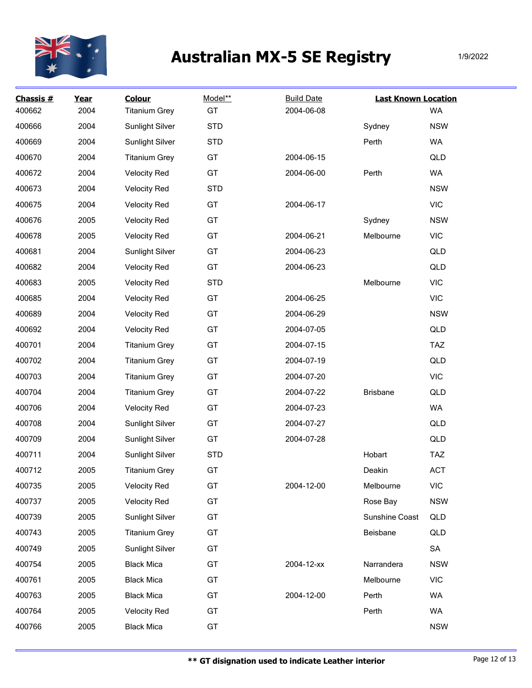

| Chassis #<br>400662 | Year<br>2004 | <b>Colour</b><br><b>Titanium Grey</b> | Model**<br>GT | <b>Build Date</b><br>2004-06-08 | <b>Last Known Location</b> | WA         |
|---------------------|--------------|---------------------------------------|---------------|---------------------------------|----------------------------|------------|
| 400666              | 2004         | <b>Sunlight Silver</b>                | <b>STD</b>    |                                 | Sydney                     | <b>NSW</b> |
| 400669              | 2004         | <b>Sunlight Silver</b>                | <b>STD</b>    |                                 | Perth                      | WA         |
| 400670              | 2004         | <b>Titanium Grey</b>                  | GT            | 2004-06-15                      |                            | QLD        |
| 400672              | 2004         | <b>Velocity Red</b>                   | GT            | 2004-06-00                      | Perth                      | WA         |
| 400673              | 2004         | <b>Velocity Red</b>                   | <b>STD</b>    |                                 |                            | <b>NSW</b> |
| 400675              | 2004         | <b>Velocity Red</b>                   | GT            | 2004-06-17                      |                            | <b>VIC</b> |
| 400676              | 2005         | <b>Velocity Red</b>                   | GT            |                                 | Sydney                     | <b>NSW</b> |
| 400678              | 2005         | <b>Velocity Red</b>                   | GT            | 2004-06-21                      | Melbourne                  | <b>VIC</b> |
| 400681              | 2004         | Sunlight Silver                       | GT            | 2004-06-23                      |                            | QLD        |
| 400682              | 2004         | <b>Velocity Red</b>                   | GT            | 2004-06-23                      |                            | QLD        |
| 400683              | 2005         | <b>Velocity Red</b>                   | <b>STD</b>    |                                 | Melbourne                  | <b>VIC</b> |
| 400685              | 2004         | <b>Velocity Red</b>                   | GT            | 2004-06-25                      |                            | <b>VIC</b> |
| 400689              | 2004         | <b>Velocity Red</b>                   | GT            | 2004-06-29                      |                            | <b>NSW</b> |
| 400692              | 2004         | <b>Velocity Red</b>                   | GT            | 2004-07-05                      |                            | QLD        |
| 400701              | 2004         | <b>Titanium Grey</b>                  | GT            | 2004-07-15                      |                            | <b>TAZ</b> |
| 400702              | 2004         | <b>Titanium Grey</b>                  | GT            | 2004-07-19                      |                            | QLD        |
| 400703              | 2004         | <b>Titanium Grey</b>                  | GT            | 2004-07-20                      |                            | <b>VIC</b> |
| 400704              | 2004         | <b>Titanium Grey</b>                  | GT            | 2004-07-22                      | <b>Brisbane</b>            | QLD        |
| 400706              | 2004         | <b>Velocity Red</b>                   | GT            | 2004-07-23                      |                            | WA         |
| 400708              | 2004         | <b>Sunlight Silver</b>                | GT            | 2004-07-27                      |                            | QLD        |
| 400709              | 2004         | Sunlight Silver                       | GT            | 2004-07-28                      |                            | QLD        |
| 400711              | 2004         | <b>Sunlight Silver</b>                | <b>STD</b>    |                                 | Hobart                     | <b>TAZ</b> |
| 400712              | 2005         | <b>Titanium Grey</b>                  | GT            |                                 | Deakin                     | ACT        |
| 400735              | 2005         | <b>Velocity Red</b>                   | GT            | 2004-12-00                      | Melbourne                  | <b>VIC</b> |
| 400737              | 2005         | <b>Velocity Red</b>                   | GT            |                                 | Rose Bay                   | <b>NSW</b> |
| 400739              | 2005         | Sunlight Silver                       | GT            |                                 | Sunshine Coast             | QLD        |
| 400743              | 2005         | <b>Titanium Grey</b>                  | GT            |                                 | Beisbane                   | QLD        |
| 400749              | 2005         | <b>Sunlight Silver</b>                | GT            |                                 |                            | SA         |
| 400754              | 2005         | <b>Black Mica</b>                     | GT            | 2004-12-xx                      | Narrandera                 | <b>NSW</b> |
| 400761              | 2005         | <b>Black Mica</b>                     | GT            |                                 | Melbourne                  | <b>VIC</b> |
| 400763              | 2005         | <b>Black Mica</b>                     | GT            | 2004-12-00                      | Perth                      | WA         |
| 400764              | 2005         | <b>Velocity Red</b>                   | GT            |                                 | Perth                      | WA         |
| 400766              | 2005         | <b>Black Mica</b>                     | GT            |                                 |                            | <b>NSW</b> |